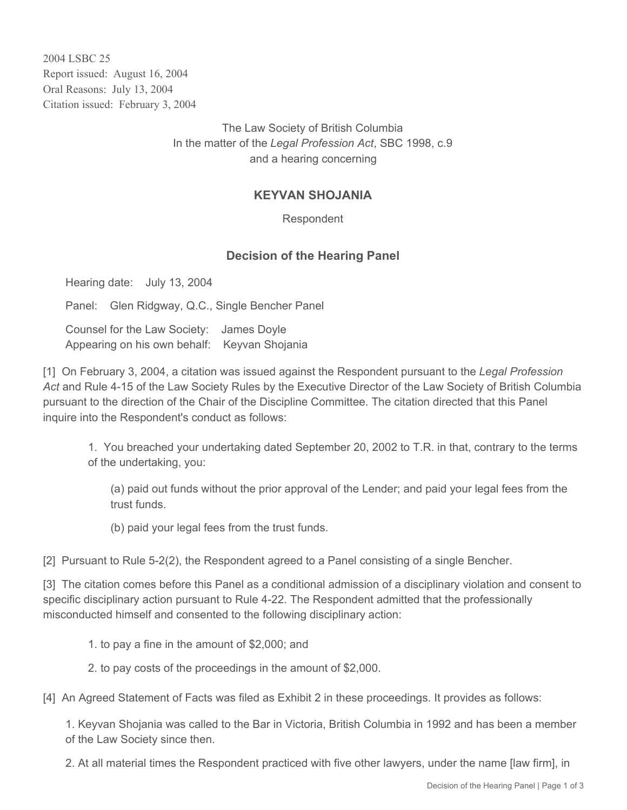2004 LSBC 25 Report issued: August 16, 2004 Oral Reasons: July 13, 2004 Citation issued: February 3, 2004

> The Law Society of British Columbia In the matter of the *Legal Profession Act*, SBC 1998, c.9 and a hearing concerning

## **KEYVAN SHOJANIA**

Respondent

## **Decision of the Hearing Panel**

Hearing date: July 13, 2004

Panel: Glen Ridgway, Q.C., Single Bencher Panel

Counsel for the Law Society: James Doyle Appearing on his own behalf: Keyvan Shojania

[1] On February 3, 2004, a citation was issued against the Respondent pursuant to the *Legal Profession Act* and Rule 4-15 of the Law Society Rules by the Executive Director of the Law Society of British Columbia pursuant to the direction of the Chair of the Discipline Committee. The citation directed that this Panel inquire into the Respondent's conduct as follows:

1. You breached your undertaking dated September 20, 2002 to T.R. in that, contrary to the terms of the undertaking, you:

(a) paid out funds without the prior approval of the Lender; and paid your legal fees from the trust funds.

(b) paid your legal fees from the trust funds.

[2] Pursuant to Rule 5-2(2), the Respondent agreed to a Panel consisting of a single Bencher.

[3] The citation comes before this Panel as a conditional admission of a disciplinary violation and consent to specific disciplinary action pursuant to Rule 4-22. The Respondent admitted that the professionally misconducted himself and consented to the following disciplinary action:

1. to pay a fine in the amount of \$2,000; and

2. to pay costs of the proceedings in the amount of \$2,000.

[4] An Agreed Statement of Facts was filed as Exhibit 2 in these proceedings. It provides as follows:

1. Keyvan Shojania was called to the Bar in Victoria, British Columbia in 1992 and has been a member of the Law Society since then.

2. At all material times the Respondent practiced with five other lawyers, under the name [law firm], in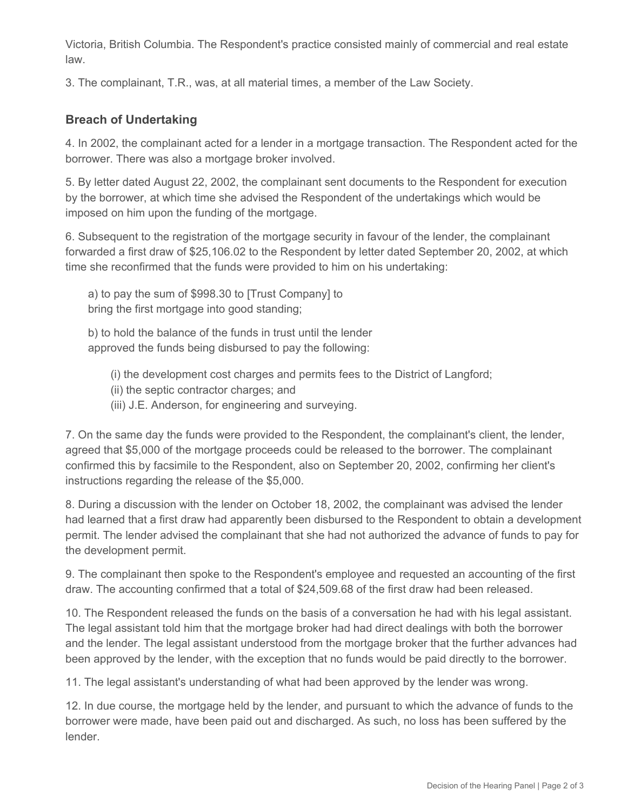Victoria, British Columbia. The Respondent's practice consisted mainly of commercial and real estate law.

3. The complainant, T.R., was, at all material times, a member of the Law Society.

## **Breach of Undertaking**

4. In 2002, the complainant acted for a lender in a mortgage transaction. The Respondent acted for the borrower. There was also a mortgage broker involved.

5. By letter dated August 22, 2002, the complainant sent documents to the Respondent for execution by the borrower, at which time she advised the Respondent of the undertakings which would be imposed on him upon the funding of the mortgage.

6. Subsequent to the registration of the mortgage security in favour of the lender, the complainant forwarded a first draw of \$25,106.02 to the Respondent by letter dated September 20, 2002, at which time she reconfirmed that the funds were provided to him on his undertaking:

a) to pay the sum of \$998.30 to [Trust Company] to bring the first mortgage into good standing;

b) to hold the balance of the funds in trust until the lender approved the funds being disbursed to pay the following:

(i) the development cost charges and permits fees to the District of Langford;

(ii) the septic contractor charges; and

(iii) J.E. Anderson, for engineering and surveying.

7. On the same day the funds were provided to the Respondent, the complainant's client, the lender, agreed that \$5,000 of the mortgage proceeds could be released to the borrower. The complainant confirmed this by facsimile to the Respondent, also on September 20, 2002, confirming her client's instructions regarding the release of the \$5,000.

8. During a discussion with the lender on October 18, 2002, the complainant was advised the lender had learned that a first draw had apparently been disbursed to the Respondent to obtain a development permit. The lender advised the complainant that she had not authorized the advance of funds to pay for the development permit.

9. The complainant then spoke to the Respondent's employee and requested an accounting of the first draw. The accounting confirmed that a total of \$24,509.68 of the first draw had been released.

10. The Respondent released the funds on the basis of a conversation he had with his legal assistant. The legal assistant told him that the mortgage broker had had direct dealings with both the borrower and the lender. The legal assistant understood from the mortgage broker that the further advances had been approved by the lender, with the exception that no funds would be paid directly to the borrower.

11. The legal assistant's understanding of what had been approved by the lender was wrong.

12. In due course, the mortgage held by the lender, and pursuant to which the advance of funds to the borrower were made, have been paid out and discharged. As such, no loss has been suffered by the lender.